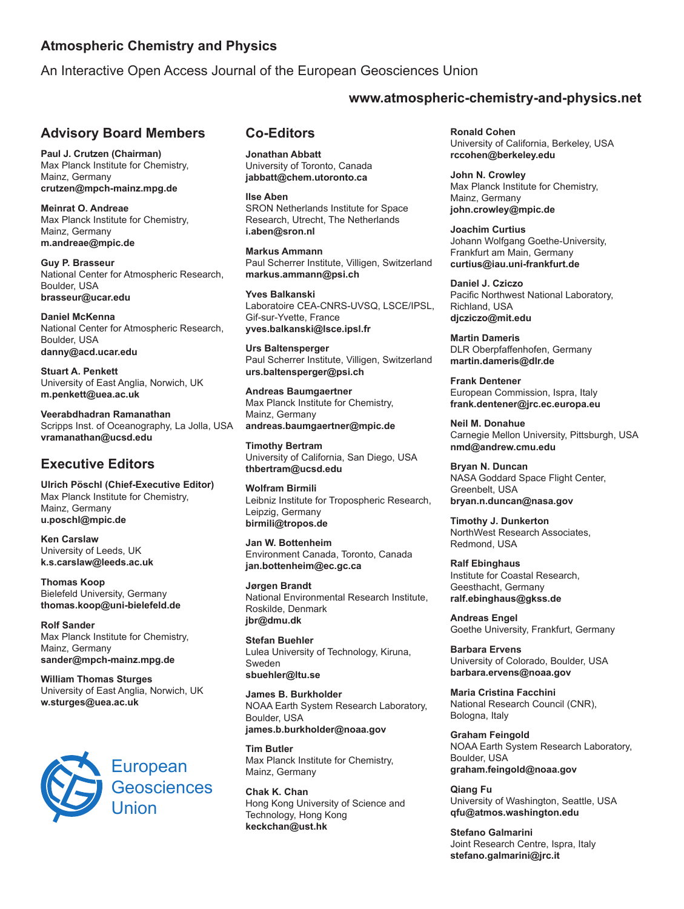### **Atmospheric Chemistry and Physics**

An Interactive Open Access Journal of the European Geosciences Union

#### **Advisory Board Members**

**Paul J. Crutzen (Chairman)** Max Planck Institute for Chemistry, Mainz, Germany **crutzen@mpch-mainz.mpg.de**

**Meinrat O. Andreae** Max Planck Institute for Chemistry, Mainz, Germany **m.andreae@mpic.de**

**Guy P. Brasseur** National Center for Atmospheric Research, Boulder, USA **brasseur@ucar.edu**

**Daniel McKenna** National Center for Atmospheric Research, Boulder, USA **danny@acd.ucar.edu**

**Stuart A. Penkett** University of East Anglia, Norwich, UK **m.penkett@uea.ac.uk**

**Veerabdhadran Ramanathan** Scripps Inst. of Oceanography, La Jolla, USA **vramanathan@ucsd.edu**

## **Executive Editors**

**Ulrich Pöschl (Chief-Executive Editor)** Max Planck Institute for Chemistry, Mainz, Germany **u.poschl@mpic.de**

**Ken Carslaw** University of Leeds, UK **k.s.carslaw@leeds.ac.uk**

**Thomas Koop** Bielefeld University, Germany **thomas.koop@uni-bielefeld.de**

**Rolf Sander** Max Planck Institute for Chemistry, Mainz, Germany **sander@mpch-mainz.mpg.de**

**William Thomas Sturges** University of East Anglia, Norwich, UK **w.sturges@uea.ac.uk**



### **Co-Editors**

**Jonathan Abbatt** University of Toronto, Canada **jabbatt@chem.utoronto.ca**

**Ilse Aben** SRON Netherlands Institute for Space Research, Utrecht, The Netherlands **i.aben@sron.nl**

**Markus Ammann** Paul Scherrer Institute, Villigen, Switzerland **markus.ammann@psi.ch**

**Yves Balkanski** Laboratoire CEA-CNRS-UVSQ, LSCE/IPSL, Gif-sur-Yvette, France **yves.balkanski@lsce.ipsl.fr**

**Urs Baltensperger** Paul Scherrer Institute, Villigen, Switzerland **urs.baltensperger@psi.ch**

**Andreas Baumgaertner** Max Planck Institute for Chemistry, Mainz, Germany **andreas.baumgaertner@mpic.de**

**Timothy Bertram** University of California, San Diego, USA **thbertram@ucsd.edu**

**Wolfram Birmili** Leibniz Institute for Tropospheric Research, Leipzig, Germany **birmili@tropos.de**

**Jan W. Bottenheim** Environment Canada, Toronto, Canada **jan.bottenheim@ec.gc.ca**

**Jørgen Brandt** National Environmental Research Institute, Roskilde, Denmark **jbr@dmu.dk**

**Stefan Buehler** Lulea University of Technology, Kiruna, Sweden **sbuehler@ltu.se**

**James B. Burkholder** NOAA Earth System Research Laboratory, Boulder, USA **james.b.burkholder@noaa.gov**

**Tim Butler** Max Planck Institute for Chemistry, Mainz, Germany

**Chak K. Chan** Hong Kong University of Science and Technology, Hong Kong **keckchan@ust.hk**

### **www.atmospheric-chemistry-and-physics.net**

**Ronald Cohen** University of California, Berkeley, USA **rccohen@berkeley.edu**

**John N. Crowley** Max Planck Institute for Chemistry, Mainz, Germany **john.crowley@mpic.de**

**Joachim Curtius** Johann Wolfgang Goethe-University, Frankfurt am Main, Germany **curtius@iau.uni-frankfurt.de**

**Daniel J. Cziczo** Pacific Northwest National Laboratory, Richland, USA **djcziczo@mit.edu**

**Martin Dameris** DLR Oberpfaffenhofen, Germany **martin.dameris@dlr.de**

**Frank Dentener** European Commission, Ispra, Italy **frank.dentener@jrc.ec.europa.eu**

**Neil M. Donahue** Carnegie Mellon University, Pittsburgh, USA **nmd@andrew.cmu.edu**

**Bryan N. Duncan** NASA Goddard Space Flight Center, Greenbelt, USA **bryan.n.duncan@nasa.gov**

**Timothy J. Dunkerton** NorthWest Research Associates, Redmond, USA

**Ralf Ebinghaus** Institute for Coastal Research, Geesthacht, Germany **ralf.ebinghaus@gkss.de**

**Andreas Engel** Goethe University, Frankfurt, Germany

**Barbara Ervens** University of Colorado, Boulder, USA **barbara.ervens@noaa.gov**

**Maria Cristina Facchini** National Research Council (CNR), Bologna, Italy

**Graham Feingold** NOAA Earth System Research Laboratory, Boulder, USA **graham.feingold@noaa.gov**

**Qiang Fu** University of Washington, Seattle, USA **qfu@atmos.washington.edu**

**Stefano Galmarini** Joint Research Centre, Ispra, Italy **stefano.galmarini@jrc.it**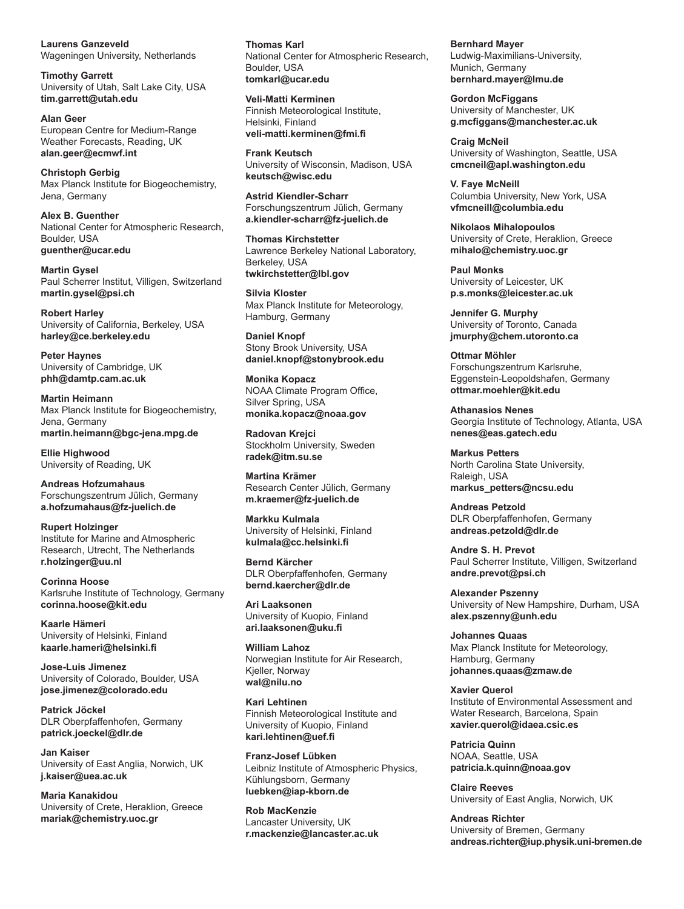**Laurens Ganzeveld** Wageningen University, Netherlands

**Timothy Garrett** University of Utah, Salt Lake City, USA **tim.garrett@utah.edu**

**Alan Geer** European Centre for Medium-Range Weather Forecasts, Reading, UK **alan.geer@ecmwf.int**

**Christoph Gerbig** Max Planck Institute for Biogeochemistry, Jena, Germany

**Alex B. Guenther** National Center for Atmospheric Research, Boulder, USA **guenther@ucar.edu**

**Martin Gysel** Paul Scherrer Institut, Villigen, Switzerland **martin.gysel@psi.ch**

**Robert Harley** University of California, Berkeley, USA **harley@ce.berkeley.edu** 

**Peter Haynes** University of Cambridge, UK **phh@damtp.cam.ac.uk**

**Martin Heimann** Max Planck Institute for Biogeochemistry, Jena, Germany **martin.heimann@bgc-jena.mpg.de**

**Ellie Highwood** University of Reading, UK

**Andreas Hofzumahaus** Forschungszentrum Jülich, Germany **a.hofzumahaus@fz-juelich.de**

**Rupert Holzinger** Institute for Marine and Atmospheric Research, Utrecht, The Netherlands **r.holzinger@uu.nl**

**Corinna Hoose** Karlsruhe Institute of Technology, Germany **corinna.hoose@kit.edu**

**Kaarle Hämeri** University of Helsinki, Finland **kaarle.hameri@helsinki.fi**

**Jose-Luis Jimenez** University of Colorado, Boulder, USA **jose.jimenez@colorado.edu**

**Patrick Jöckel** DLR Oberpfaffenhofen, Germany **patrick.joeckel@dlr.de**

**Jan Kaiser** University of East Anglia, Norwich, UK **j.kaiser@uea.ac.uk**

**Maria Kanakidou** University of Crete, Heraklion, Greece **mariak@chemistry.uoc.gr**

**Thomas Karl** National Center for Atmospheric Research, Boulder, USA **tomkarl@ucar.edu**

**Veli-Matti Kerminen** Finnish Meteorological Institute, Helsinki, Finland **veli-matti.kerminen@fmi.fi**

**Frank Keutsch** University of Wisconsin, Madison, USA **keutsch@wisc.edu**

**Astrid Kiendler-Scharr** Forschungszentrum Jülich, Germany **a.kiendler-scharr@fz-juelich.de**

**Thomas Kirchstetter** Lawrence Berkeley National Laboratory, Berkeley, USA **twkirchstetter@lbl.gov**

**Silvia Kloster** Max Planck Institute for Meteorology, Hamburg, Germany

**Daniel Knopf** Stony Brook University, USA **daniel.knopf@stonybrook.edu**

**Monika Kopacz** NOAA Climate Program Office, Silver Spring, USA **monika.kopacz@noaa.gov**

**Radovan Krejci** Stockholm University, Sweden **radek@itm.su.se** 

**Martina Krämer** Research Center Jülich, Germany **m.kraemer@fz-juelich.de** 

**Markku Kulmala** University of Helsinki, Finland **kulmala@cc.helsinki.fi**

**Bernd Kärcher** DLR Oberpfaffenhofen, Germany **bernd.kaercher@dlr.de**

**Ari Laaksonen** University of Kuopio, Finland **ari.laaksonen@uku.fi**

**William Lahoz** Norwegian Institute for Air Research, Kjeller, Norway **wal@nilu.no**

**Kari Lehtinen** Finnish Meteorological Institute and University of Kuopio, Finland **kari.lehtinen@uef.fi**

**Franz-Josef Lübken** Leibniz Institute of Atmospheric Physics, Kühlungsborn, Germany **luebken@iap-kborn.de**

**Rob MacKenzie** Lancaster University, UK **r.mackenzie@lancaster.ac.uk** **Bernhard Mayer** Ludwig-Maximilians-University, Munich, Germany **bernhard.mayer@lmu.de**

**Gordon McFiggans** University of Manchester, UK **g.mcfiggans@manchester.ac.uk**

**Craig McNeil** University of Washington, Seattle, USA **cmcneil@apl.washington.edu** 

**V. Faye McNeill** Columbia University, New York, USA **vfmcneill@columbia.edu**

**Nikolaos Mihalopoulos** University of Crete, Heraklion, Greece **mihalo@chemistry.uoc.gr**

**Paul Monks** University of Leicester, UK **p.s.monks@leicester.ac.uk**

**Jennifer G. Murphy** University of Toronto, Canada **jmurphy@chem.utoronto.ca**

**Ottmar Möhler** Forschungszentrum Karlsruhe, Eggenstein-Leopoldshafen, Germany **ottmar.moehler@kit.edu** 

**Athanasios Nenes** Georgia Institute of Technology, Atlanta, USA **nenes@eas.gatech.edu**

**Markus Petters** North Carolina State University, Raleigh, USA **markus\_petters@ncsu.edu**

**Andreas Petzold** DLR Oberpfaffenhofen, Germany **andreas.petzold@dlr.de**

**Andre S. H. Prevot** Paul Scherrer Institute, Villigen, Switzerland **andre.prevot@psi.ch**

**Alexander Pszenny** University of New Hampshire, Durham, USA **alex.pszenny@unh.edu**

**Johannes Quaas** Max Planck Institute for Meteorology, Hamburg, Germany **johannes.quaas@zmaw.de**

**Xavier Querol** Institute of Environmental Assessment and Water Research, Barcelona, Spain **xavier.querol@idaea.csic.es**

**Patricia Quinn** NOAA, Seattle, USA **patricia.k.quinn@noaa.gov**

**Claire Reeves** University of East Anglia, Norwich, UK

**Andreas Richter** University of Bremen, Germany **andreas.richter@iup.physik.uni-bremen.de**